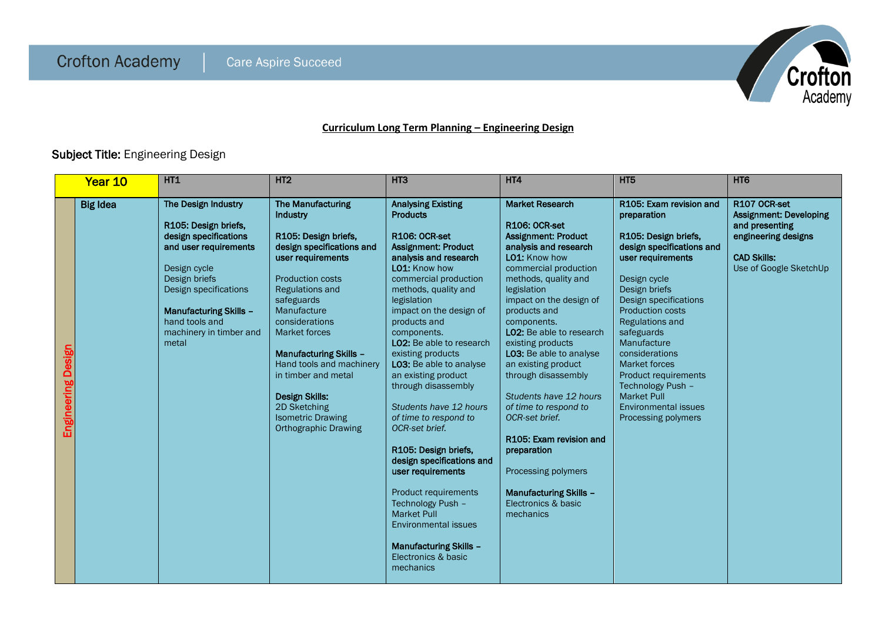

## **Curriculum Long Term Planning – Engineering Design**

## Subject Title: Engineering Design

|                    | Year 10         | <b>HT1</b>                                                                                                                                                                                                                                     | HT <sub>2</sub>                                                                                                                                                                                                                                                                                                                                                                                                                    | HT <sub>3</sub>                                                                                                                                                                                                                                                                                                                                                                                                                                                                                                                                                                                                                                                                                                        | HT4                                                                                                                                                                                                                                                                                                                                                                                                                                                                                                                                                                                   | HT <sub>5</sub>                                                                                                                                                                                                                                                                                                                                                                                                                 | HT <sub>6</sub>                                                                                                                        |
|--------------------|-----------------|------------------------------------------------------------------------------------------------------------------------------------------------------------------------------------------------------------------------------------------------|------------------------------------------------------------------------------------------------------------------------------------------------------------------------------------------------------------------------------------------------------------------------------------------------------------------------------------------------------------------------------------------------------------------------------------|------------------------------------------------------------------------------------------------------------------------------------------------------------------------------------------------------------------------------------------------------------------------------------------------------------------------------------------------------------------------------------------------------------------------------------------------------------------------------------------------------------------------------------------------------------------------------------------------------------------------------------------------------------------------------------------------------------------------|---------------------------------------------------------------------------------------------------------------------------------------------------------------------------------------------------------------------------------------------------------------------------------------------------------------------------------------------------------------------------------------------------------------------------------------------------------------------------------------------------------------------------------------------------------------------------------------|---------------------------------------------------------------------------------------------------------------------------------------------------------------------------------------------------------------------------------------------------------------------------------------------------------------------------------------------------------------------------------------------------------------------------------|----------------------------------------------------------------------------------------------------------------------------------------|
| Engineering Design | <b>Big Idea</b> | The Design Industry<br>R105: Design briefs,<br>design specifications<br>and user requirements<br>Design cycle<br>Design briefs<br>Design specifications<br><b>Manufacturing Skills -</b><br>hand tools and<br>machinery in timber and<br>metal | <b>The Manufacturing</b><br>Industry<br>R105: Design briefs,<br>design specifications and<br>user requirements<br><b>Production costs</b><br><b>Regulations and</b><br>safeguards<br>Manufacture<br>considerations<br><b>Market forces</b><br><b>Manufacturing Skills -</b><br>Hand tools and machinery<br>in timber and metal<br><b>Design Skills:</b><br>2D Sketching<br><b>Isometric Drawing</b><br><b>Orthographic Drawing</b> | <b>Analysing Existing</b><br><b>Products</b><br><b>R106: OCR-set</b><br><b>Assignment: Product</b><br>analysis and research<br>LO1: Know how<br>commercial production<br>methods, quality and<br>legislation<br>impact on the design of<br>products and<br>components.<br>LO2: Be able to research<br>existing products<br>LO3: Be able to analyse<br>an existing product<br>through disassembly<br>Students have 12 hours<br>of time to respond to<br>OCR-set brief.<br>R105: Design briefs,<br>design specifications and<br>user requirements<br>Product requirements<br>Technology Push -<br><b>Market Pull</b><br><b>Environmental issues</b><br><b>Manufacturing Skills -</b><br>Electronics & basic<br>mechanics | <b>Market Research</b><br>R106: OCR-set<br><b>Assignment: Product</b><br>analysis and research<br>LO1: Know how<br>commercial production<br>methods, quality and<br>legislation<br>impact on the design of<br>products and<br>components.<br><b>LO2:</b> Be able to research<br>existing products<br>LO3: Be able to analyse<br>an existing product<br>through disassembly<br>Students have 12 hours<br>of time to respond to<br>OCR-set brief.<br>R105: Exam revision and<br>preparation<br>Processing polymers<br><b>Manufacturing Skills -</b><br>Electronics & basic<br>mechanics | R105: Exam revision and<br>preparation<br>R105: Design briefs,<br>design specifications and<br>user requirements<br>Design cycle<br>Design briefs<br>Design specifications<br><b>Production costs</b><br><b>Regulations and</b><br>safeguards<br>Manufacture<br>considerations<br><b>Market forces</b><br>Product requirements<br>Technology Push -<br><b>Market Pull</b><br><b>Environmental issues</b><br>Processing polymers | R107 OCR-set<br><b>Assignment: Developing</b><br>and presenting<br>engineering designs<br><b>CAD Skills:</b><br>Use of Google SketchUp |